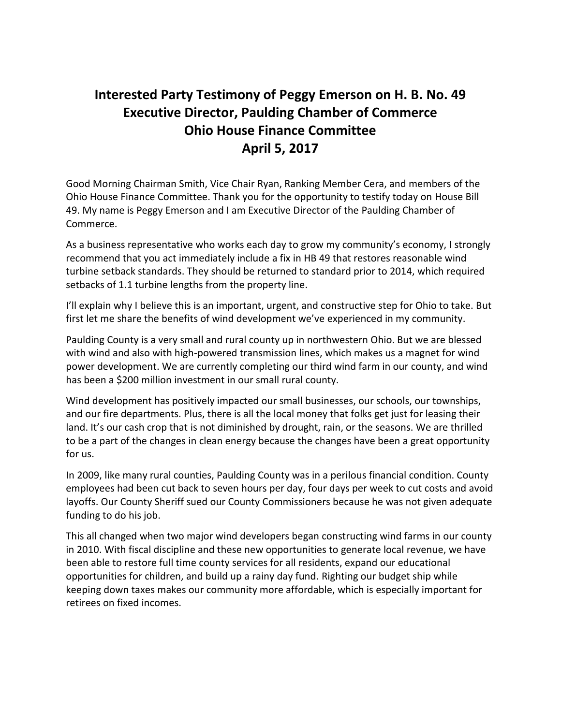## **Interested Party Testimony of Peggy Emerson on H. B. No. 49 Executive Director, Paulding Chamber of Commerce Ohio House Finance Committee April 5, 2017**

Good Morning Chairman Smith, Vice Chair Ryan, Ranking Member Cera, and members of the Ohio House Finance Committee. Thank you for the opportunity to testify today on House Bill 49. My name is Peggy Emerson and I am Executive Director of the Paulding Chamber of Commerce.

As a business representative who works each day to grow my community's economy, I strongly recommend that you act immediately include a fix in HB 49 that restores reasonable wind turbine setback standards. They should be returned to standard prior to 2014, which required setbacks of 1.1 turbine lengths from the property line.

I'll explain why I believe this is an important, urgent, and constructive step for Ohio to take. But first let me share the benefits of wind development we've experienced in my community.

Paulding County is a very small and rural county up in northwestern Ohio. But we are blessed with wind and also with high-powered transmission lines, which makes us a magnet for wind power development. We are currently completing our third wind farm in our county, and wind has been a \$200 million investment in our small rural county.

Wind development has positively impacted our small businesses, our schools, our townships, and our fire departments. Plus, there is all the local money that folks get just for leasing their land. It's our cash crop that is not diminished by drought, rain, or the seasons. We are thrilled to be a part of the changes in clean energy because the changes have been a great opportunity for us.

In 2009, like many rural counties, Paulding County was in a perilous financial condition. County employees had been cut back to seven hours per day, four days per week to cut costs and avoid layoffs. Our County Sheriff sued our County Commissioners because he was not given adequate funding to do his job.

This all changed when two major wind developers began constructing wind farms in our county in 2010. With fiscal discipline and these new opportunities to generate local revenue, we have been able to restore full time county services for all residents, expand our educational opportunities for children, and build up a rainy day fund. Righting our budget ship while keeping down taxes makes our community more affordable, which is especially important for retirees on fixed incomes.